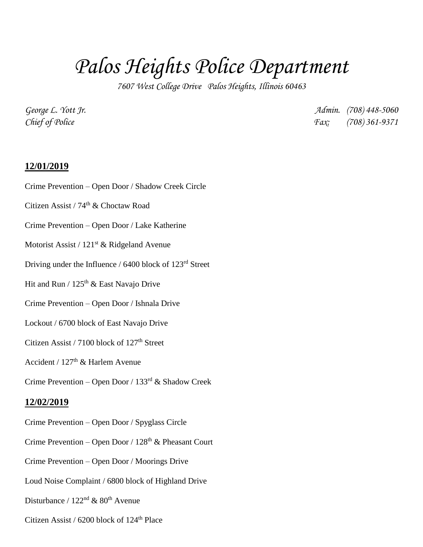## *Palos Heights Police Department*

*7607 West College Drive Palos Heights, Illinois 60463*

*George L. Yott Jr. Admin. (708) 448-5060 Chief of Police Fax: (708) 361-9371*

## **12/01/2019**

- Crime Prevention Open Door / Shadow Creek Circle
- Citizen Assist / 74<sup>th</sup> & Choctaw Road
- Crime Prevention Open Door / Lake Katherine
- Motorist Assist /  $121<sup>st</sup>$  & Ridgeland Avenue
- Driving under the Influence / 6400 block of 123rd Street
- Hit and Run /  $125^{\rm th}$  & East Navajo Drive
- Crime Prevention Open Door / Ishnala Drive
- Lockout / 6700 block of East Navajo Drive
- Citizen Assist / 7100 block of  $127<sup>th</sup>$  Street
- Accident /  $127<sup>th</sup>$  & Harlem Avenue
- Crime Prevention Open Door / 133rd & Shadow Creek

## **12/02/2019**

- Crime Prevention Open Door / Spyglass Circle
- Crime Prevention Open Door /  $128<sup>th</sup>$  & Pheasant Court
- Crime Prevention Open Door / Moorings Drive
- Loud Noise Complaint / 6800 block of Highland Drive
- Disturbance /  $122<sup>nd</sup>$  &  $80<sup>th</sup>$  Avenue
- Citizen Assist /  $6200$  block of  $124<sup>th</sup>$  Place